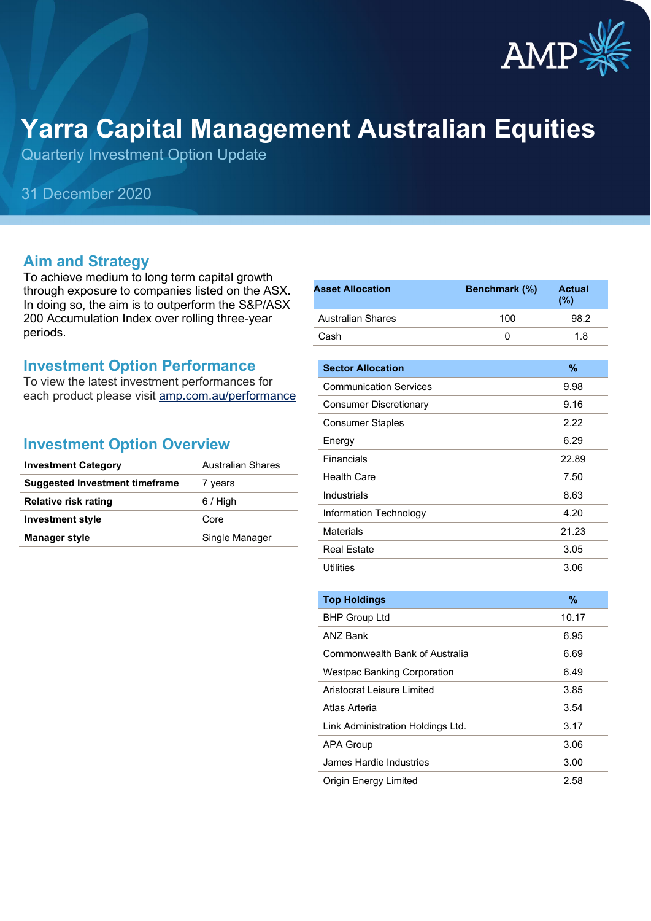

# **Yarra Capital Management Australian Equities**

Quarterly Investment Option Update

### 31 December 2020

#### **Aim and Strategy**

To achieve medium to long term capital growth through exposure to companies listed on the ASX. In doing so, the aim is to outperform the S&P/ASX 200 Accumulation Index over rolling three-year periods.

#### **Investment Option Performance**

To view the latest investment performances for each product please visit [amp.com.au/performance](https://www.amp.com.au/performance)

#### **Investment Option Overview**

| <b>Investment Category</b>     | <b>Australian Shares</b> |  |
|--------------------------------|--------------------------|--|
| Suggested Investment timeframe | 7 years                  |  |
| <b>Relative risk rating</b>    | $6/$ High                |  |
| <b>Investment style</b>        | Core                     |  |
| <b>Manager style</b>           | Single Manager           |  |

| <b>Asset Allocation</b>            | Benchmark (%) | <b>Actual</b><br>$(\% )$ |
|------------------------------------|---------------|--------------------------|
| <b>Australian Shares</b>           | 100           | 98.2                     |
| Cash                               | 0             | 1.8                      |
| <b>Sector Allocation</b>           |               | %                        |
| <b>Communication Services</b>      |               | 9.98                     |
| <b>Consumer Discretionary</b>      |               | 9.16                     |
| <b>Consumer Staples</b>            |               | 2.22                     |
| Energy                             |               | 6.29                     |
| Financials                         |               | 22.89                    |
| <b>Health Care</b>                 |               | 7.50                     |
| Industrials                        |               | 8.63                     |
| Information Technology             |               | 4.20                     |
| <b>Materials</b>                   |               | 21.23                    |
| <b>Real Estate</b>                 |               | 3.05                     |
| <b>Utilities</b>                   |               | 3.06                     |
|                                    |               |                          |
| <b>Top Holdings</b>                |               | $\frac{9}{6}$            |
| <b>BHP Group Ltd</b>               |               | 10.17                    |
| <b>ANZ Bank</b>                    |               | 6.95                     |
| Commonwealth Bank of Australia     |               | 6.69                     |
| <b>Westpac Banking Corporation</b> |               | 6.49                     |
| <b>Aristocrat Leisure Limited</b>  |               | 3.85                     |
| Atlas Arteria                      |               | 3.54                     |
| Link Administration Holdings Ltd.  |               | 3.17                     |
| <b>APA Group</b>                   |               | 3.06                     |
| <b>James Hardie Industries</b>     |               | 3.00                     |
| Origin Energy Limited              |               | 2.58                     |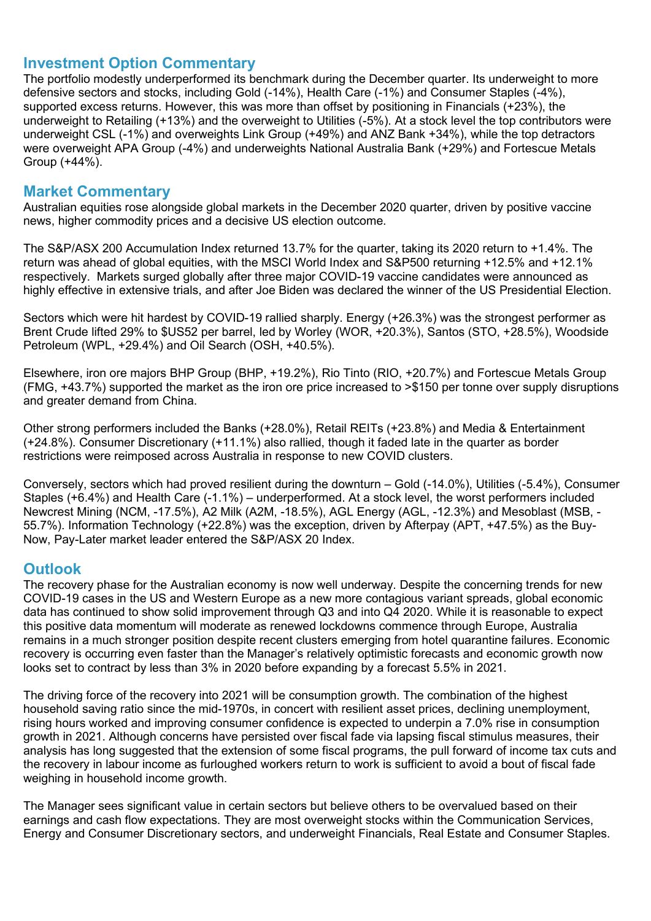#### **Investment Option Commentary**

The portfolio modestly underperformed its benchmark during the December quarter. Its underweight to more defensive sectors and stocks, including Gold (-14%), Health Care (-1%) and Consumer Staples (-4%), supported excess returns. However, this was more than offset by positioning in Financials (+23%), the underweight to Retailing (+13%) and the overweight to Utilities (-5%). At a stock level the top contributors were underweight CSL (-1%) and overweights Link Group (+49%) and ANZ Bank +34%), while the top detractors were overweight APA Group (-4%) and underweights National Australia Bank (+29%) and Fortescue Metals Group (+44%).

#### **Market Commentary**

Australian equities rose alongside global markets in the December 2020 quarter, driven by positive vaccine news, higher commodity prices and a decisive US election outcome.

The S&P/ASX 200 Accumulation Index returned 13.7% for the quarter, taking its 2020 return to +1.4%. The return was ahead of global equities, with the MSCI World Index and S&P500 returning +12.5% and +12.1% respectively. Markets surged globally after three major COVID-19 vaccine candidates were announced as highly effective in extensive trials, and after Joe Biden was declared the winner of the US Presidential Election.

Sectors which were hit hardest by COVID-19 rallied sharply. Energy (+26.3%) was the strongest performer as Brent Crude lifted 29% to \$US52 per barrel, led by Worley (WOR, +20.3%), Santos (STO, +28.5%), Woodside Petroleum (WPL, +29.4%) and Oil Search (OSH, +40.5%).

Elsewhere, iron ore majors BHP Group (BHP, +19.2%), Rio Tinto (RIO, +20.7%) and Fortescue Metals Group (FMG, +43.7%) supported the market as the iron ore price increased to >\$150 per tonne over supply disruptions and greater demand from China.

Other strong performers included the Banks (+28.0%), Retail REITs (+23.8%) and Media & Entertainment (+24.8%). Consumer Discretionary (+11.1%) also rallied, though it faded late in the quarter as border restrictions were reimposed across Australia in response to new COVID clusters.

Conversely, sectors which had proved resilient during the downturn – Gold (-14.0%), Utilities (-5.4%), Consumer Staples (+6.4%) and Health Care (-1.1%) – underperformed. At a stock level, the worst performers included Newcrest Mining (NCM, -17.5%), A2 Milk (A2M, -18.5%), AGL Energy (AGL, -12.3%) and Mesoblast (MSB, - 55.7%). Information Technology (+22.8%) was the exception, driven by Afterpay (APT, +47.5%) as the Buy-Now, Pay-Later market leader entered the S&P/ASX 20 Index.

#### **Outlook**

The recovery phase for the Australian economy is now well underway. Despite the concerning trends for new COVID-19 cases in the US and Western Europe as a new more contagious variant spreads, global economic data has continued to show solid improvement through Q3 and into Q4 2020. While it is reasonable to expect this positive data momentum will moderate as renewed lockdowns commence through Europe, Australia remains in a much stronger position despite recent clusters emerging from hotel quarantine failures. Economic recovery is occurring even faster than the Manager's relatively optimistic forecasts and economic growth now looks set to contract by less than 3% in 2020 before expanding by a forecast 5.5% in 2021.

The driving force of the recovery into 2021 will be consumption growth. The combination of the highest household saving ratio since the mid-1970s, in concert with resilient asset prices, declining unemployment, rising hours worked and improving consumer confidence is expected to underpin a 7.0% rise in consumption growth in 2021. Although concerns have persisted over fiscal fade via lapsing fiscal stimulus measures, their analysis has long suggested that the extension of some fiscal programs, the pull forward of income tax cuts and the recovery in labour income as furloughed workers return to work is sufficient to avoid a bout of fiscal fade weighing in household income growth.

The Manager sees significant value in certain sectors but believe others to be overvalued based on their earnings and cash flow expectations. They are most overweight stocks within the Communication Services, Energy and Consumer Discretionary sectors, and underweight Financials, Real Estate and Consumer Staples.